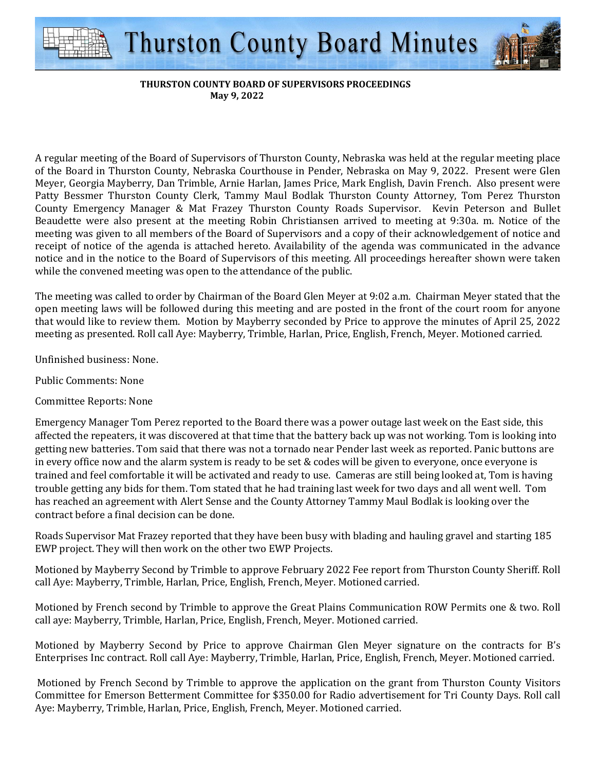

## **THURSTON COUNTY BOARD OF SUPERVISORS PROCEEDINGS May 9, 2022**

A regular meeting of the Board of Supervisors of Thurston County, Nebraska was held at the regular meeting place of the Board in Thurston County, Nebraska Courthouse in Pender, Nebraska on May 9, 2022. Present were Glen Meyer, Georgia Mayberry, Dan Trimble, Arnie Harlan, James Price, Mark English, Davin French. Also present were Patty Bessmer Thurston County Clerk, Tammy Maul Bodlak Thurston County Attorney, Tom Perez Thurston County Emergency Manager & Mat Frazey Thurston County Roads Supervisor. Kevin Peterson and Bullet Beaudette were also present at the meeting Robin Christiansen arrived to meeting at 9:30a. m. Notice of the meeting was given to all members of the Board of Supervisors and a copy of their acknowledgement of notice and receipt of notice of the agenda is attached hereto. Availability of the agenda was communicated in the advance notice and in the notice to the Board of Supervisors of this meeting. All proceedings hereafter shown were taken while the convened meeting was open to the attendance of the public.

The meeting was called to order by Chairman of the Board Glen Meyer at 9:02 a.m. Chairman Meyer stated that the open meeting laws will be followed during this meeting and are posted in the front of the court room for anyone that would like to review them. Motion by Mayberry seconded by Price to approve the minutes of April 25, 2022 meeting as presented. Roll call Aye: Mayberry, Trimble, Harlan, Price, English, French, Meyer. Motioned carried.

Unfinished business: None.

Public Comments: None

Committee Reports: None

Emergency Manager Tom Perez reported to the Board there was a power outage last week on the East side, this affected the repeaters, it was discovered at that time that the battery back up was not working. Tom is looking into getting new batteries. Tom said that there was not a tornado near Pender last week as reported. Panic buttons are in every office now and the alarm system is ready to be set & codes will be given to everyone, once everyone is trained and feel comfortable it will be activated and ready to use. Cameras are still being looked at, Tom is having trouble getting any bids for them. Tom stated that he had training last week for two days and all went well. Tom has reached an agreement with Alert Sense and the County Attorney Tammy Maul Bodlak is looking over the contract before a final decision can be done.

Roads Supervisor Mat Frazey reported that they have been busy with blading and hauling gravel and starting 185 EWP project. They will then work on the other two EWP Projects.

Motioned by Mayberry Second by Trimble to approve February 2022 Fee report from Thurston County Sheriff. Roll call Aye: Mayberry, Trimble, Harlan, Price, English, French, Meyer. Motioned carried.

Motioned by French second by Trimble to approve the Great Plains Communication ROW Permits one & two. Roll call aye: Mayberry, Trimble, Harlan, Price, English, French, Meyer. Motioned carried.

Motioned by Mayberry Second by Price to approve Chairman Glen Meyer signature on the contracts for B's Enterprises Inc contract. Roll call Aye: Mayberry, Trimble, Harlan, Price, English, French, Meyer. Motioned carried.

 Motioned by French Second by Trimble to approve the application on the grant from Thurston County Visitors Committee for Emerson Betterment Committee for \$350.00 for Radio advertisement for Tri County Days. Roll call Aye: Mayberry, Trimble, Harlan, Price, English, French, Meyer. Motioned carried.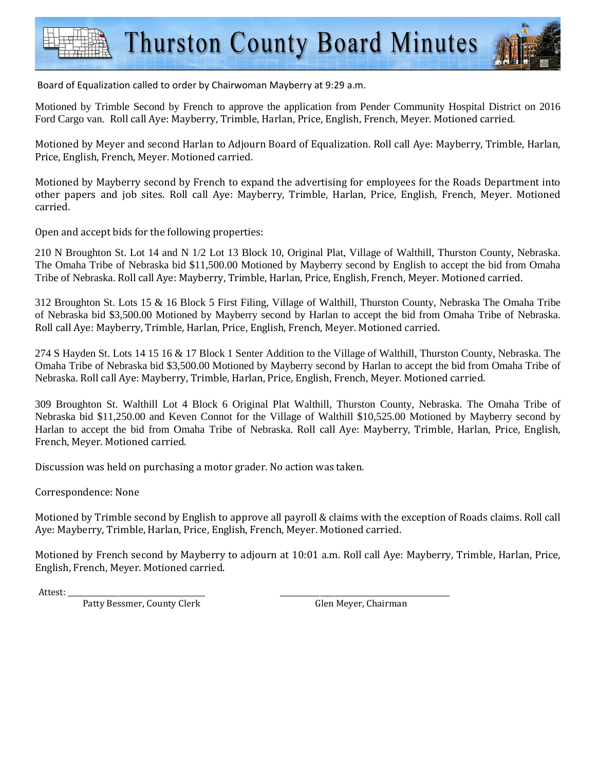

Motioned by Trimble Second by French to approve the application from Pender Community Hospital District on 2016 Ford Cargo van. Roll call Aye: Mayberry, Trimble, Harlan, Price, English, French, Meyer. Motioned carried.

Motioned by Meyer and second Harlan to Adjourn Board of Equalization. Roll call Aye: Mayberry, Trimble, Harlan, Price, English, French, Meyer. Motioned carried.

Motioned by Mayberry second by French to expand the advertising for employees for the Roads Department into other papers and job sites. Roll call Aye: Mayberry, Trimble, Harlan, Price, English, French, Meyer. Motioned carried.

Open and accept bids for the following properties:

210 N Broughton St. Lot 14 and N 1/2 Lot 13 Block 10, Original Plat, Village of Walthill, Thurston County, Nebraska. The Omaha Tribe of Nebraska bid \$11,500.00 Motioned by Mayberry second by English to accept the bid from Omaha Tribe of Nebraska. Roll call Aye: Mayberry, Trimble, Harlan, Price, English, French, Meyer. Motioned carried.

312 Broughton St. Lots 15 & 16 Block 5 First Filing, Village of Walthill, Thurston County, Nebraska The Omaha Tribe of Nebraska bid \$3,500.00 Motioned by Mayberry second by Harlan to accept the bid from Omaha Tribe of Nebraska. Roll call Aye: Mayberry, Trimble, Harlan, Price, English, French, Meyer. Motioned carried.

274 S Hayden St. Lots 14 15 16 & 17 Block 1 Senter Addition to the Village of Walthill, Thurston County, Nebraska. The Omaha Tribe of Nebraska bid \$3,500.00 Motioned by Mayberry second by Harlan to accept the bid from Omaha Tribe of Nebraska. Roll call Aye: Mayberry, Trimble, Harlan, Price, English, French, Meyer. Motioned carried.

309 Broughton St. Walthill Lot 4 Block 6 Original Plat Walthill, Thurston County, Nebraska. The Omaha Tribe of Nebraska bid \$11,250.00 and Keven Connot for the Village of Walthill \$10,525.00 Motioned by Mayberry second by Harlan to accept the bid from Omaha Tribe of Nebraska. Roll call Aye: Mayberry, Trimble, Harlan, Price, English, French, Meyer. Motioned carried.

Discussion was held on purchasing a motor grader. No action was taken.

Correspondence: None

Motioned by Trimble second by English to approve all payroll & claims with the exception of Roads claims. Roll call Aye: Mayberry, Trimble, Harlan, Price, English, French, Meyer. Motioned carried.

Motioned by French second by Mayberry to adjourn at 10:01 a.m. Roll call Aye: Mayberry, Trimble, Harlan, Price, English, French, Meyer. Motioned carried.

Attest: \_\_\_\_\_\_\_\_\_\_\_\_\_\_\_\_\_\_\_\_\_\_\_\_\_\_\_\_\_\_\_\_\_\_\_\_\_\_ \_\_\_\_\_\_\_\_\_\_\_\_\_\_\_\_\_\_\_\_\_\_\_\_\_\_\_\_\_\_\_\_\_\_\_\_\_\_\_\_\_\_\_\_\_\_\_

Patty Bessmer, County Clerk Glen Meyer, Chairman